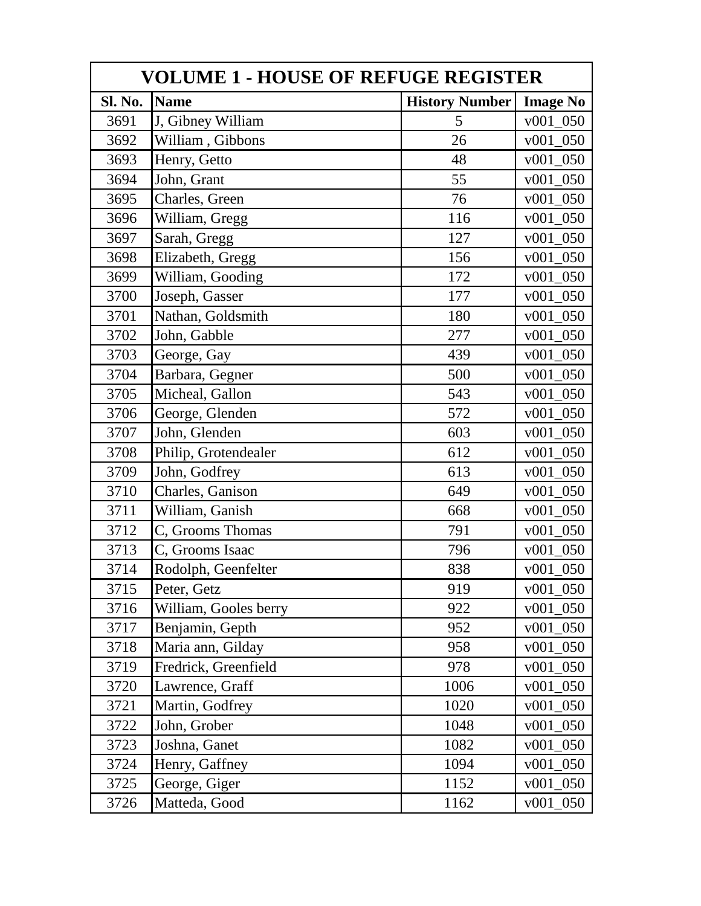| <b>VOLUME 1 - HOUSE OF REFUGE REGISTER</b> |                       |                       |                 |  |
|--------------------------------------------|-----------------------|-----------------------|-----------------|--|
| Sl. No.                                    | <b>Name</b>           | <b>History Number</b> | <b>Image No</b> |  |
| 3691                                       | J, Gibney William     | 5                     | v001 050        |  |
| 3692                                       | William, Gibbons      | 26                    | v001 050        |  |
| 3693                                       | Henry, Getto          | 48                    | $v001_050$      |  |
| 3694                                       | John, Grant           | 55                    | v001 050        |  |
| 3695                                       | Charles, Green        | 76                    | $v001_050$      |  |
| 3696                                       | William, Gregg        | 116                   | v001 050        |  |
| 3697                                       | Sarah, Gregg          | 127                   | v001 050        |  |
| 3698                                       | Elizabeth, Gregg      | 156                   | $v001_050$      |  |
| 3699                                       | William, Gooding      | 172                   | $v001_050$      |  |
| 3700                                       | Joseph, Gasser        | 177                   | $v001_050$      |  |
| 3701                                       | Nathan, Goldsmith     | 180                   | v001 050        |  |
| 3702                                       | John, Gabble          | 277                   | $v001_050$      |  |
| 3703                                       | George, Gay           | 439                   | $v001_050$      |  |
| 3704                                       | Barbara, Gegner       | 500                   | $v001_050$      |  |
| 3705                                       | Micheal, Gallon       | 543                   | v001 050        |  |
| 3706                                       | George, Glenden       | 572                   | v001 050        |  |
| 3707                                       | John, Glenden         | 603                   | v001 050        |  |
| 3708                                       | Philip, Grotendealer  | 612                   | $v001_050$      |  |
| 3709                                       | John, Godfrey         | 613                   | v001 050        |  |
| 3710                                       | Charles, Ganison      | 649                   | v001 050        |  |
| 3711                                       | William, Ganish       | 668                   | $v001_050$      |  |
| 3712                                       | C, Grooms Thomas      | 791                   | v001 050        |  |
| 3713                                       | C, Grooms Isaac       | 796                   | $v001_050$      |  |
| 3714                                       | Rodolph, Geenfelter   | 838                   | $v001_050$      |  |
| 3715                                       | Peter, Getz           | 919                   | $v001_050$      |  |
| 3716                                       | William, Gooles berry | 922                   | v001 050        |  |
| 3717                                       | Benjamin, Gepth       | 952                   | v001 050        |  |
| 3718                                       | Maria ann, Gilday     | 958                   | $v001_050$      |  |
| 3719                                       | Fredrick, Greenfield  | 978                   | v001 050        |  |
| 3720                                       | Lawrence, Graff       | 1006                  | $v001_050$      |  |
| 3721                                       | Martin, Godfrey       | 1020                  | $v001_050$      |  |
| 3722                                       | John, Grober          | 1048                  | $v001_050$      |  |
| 3723                                       | Joshna, Ganet         | 1082                  | $v001_050$      |  |
| 3724                                       | Henry, Gaffney        | 1094                  | $v001_050$      |  |
| 3725                                       | George, Giger         | 1152                  | $v001_050$      |  |
| 3726                                       | Matteda, Good         | 1162                  | $v001_050$      |  |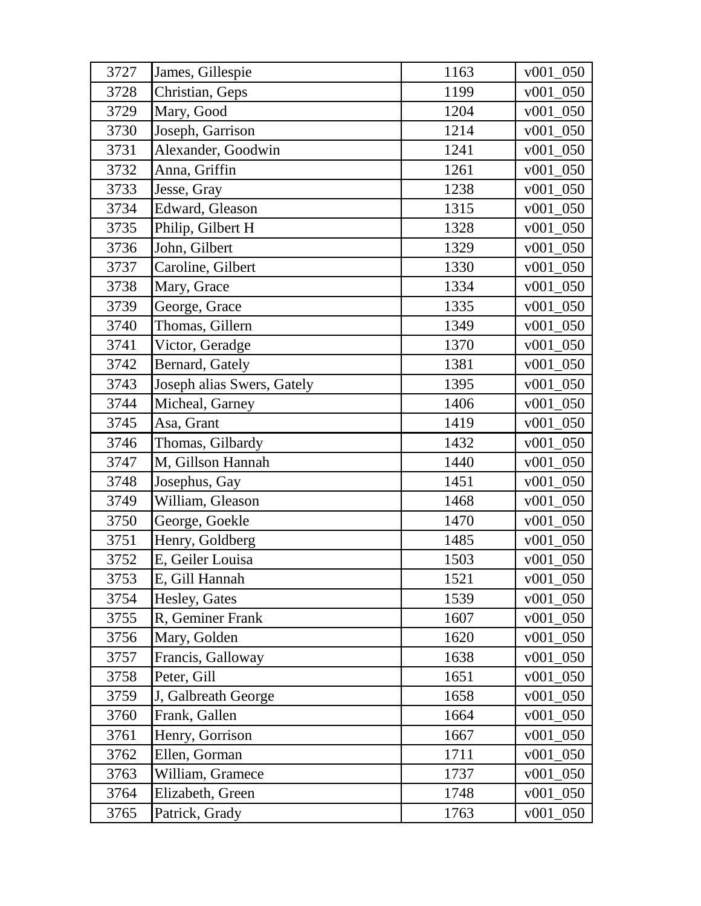| 3727 | James, Gillespie           | 1163 | $v001\_050$ |
|------|----------------------------|------|-------------|
| 3728 | Christian, Geps            | 1199 | $v001_050$  |
| 3729 | Mary, Good                 | 1204 | $v001_050$  |
| 3730 | Joseph, Garrison           | 1214 | $v001_050$  |
| 3731 | Alexander, Goodwin         | 1241 | v001 050    |
| 3732 | Anna, Griffin              | 1261 | $v001_050$  |
| 3733 | Jesse, Gray                | 1238 | $v001_050$  |
| 3734 | Edward, Gleason            | 1315 | $v001_050$  |
| 3735 | Philip, Gilbert H          | 1328 | v001 050    |
| 3736 | John, Gilbert              | 1329 | $v001_050$  |
| 3737 | Caroline, Gilbert          | 1330 | $v001_050$  |
| 3738 | Mary, Grace                | 1334 | $v001_050$  |
| 3739 | George, Grace              | 1335 | $v001_050$  |
| 3740 | Thomas, Gillern            | 1349 | $v001_050$  |
| 3741 | Victor, Geradge            | 1370 | $v001_050$  |
| 3742 | Bernard, Gately            | 1381 | $v001_050$  |
| 3743 | Joseph alias Swers, Gately | 1395 | $v001_050$  |
| 3744 | Micheal, Garney            | 1406 | $v001_050$  |
| 3745 | Asa, Grant                 | 1419 | $v001_050$  |
| 3746 | Thomas, Gilbardy           | 1432 | $v001_050$  |
| 3747 | M, Gillson Hannah          | 1440 | $v001_050$  |
| 3748 | Josephus, Gay              | 1451 | $v001_050$  |
| 3749 | William, Gleason           | 1468 | $v001_050$  |
| 3750 | George, Goekle             | 1470 | $v001_050$  |
| 3751 | Henry, Goldberg            | 1485 | $v001_050$  |
| 3752 | E, Geiler Louisa           | 1503 | $v001_050$  |
| 3753 | E, Gill Hannah             | 1521 | $v001_050$  |
| 3754 | Hesley, Gates              | 1539 | $v001_050$  |
| 3755 | R, Geminer Frank           | 1607 | $v001_050$  |
| 3756 | Mary, Golden               | 1620 | $v001_050$  |
| 3757 | Francis, Galloway          | 1638 | $v001_050$  |
| 3758 | Peter, Gill                | 1651 | $v001_050$  |
| 3759 | J, Galbreath George        | 1658 | $v001_050$  |
| 3760 | Frank, Gallen              | 1664 | $v001_050$  |
| 3761 | Henry, Gorrison            | 1667 | $v001_050$  |
| 3762 | Ellen, Gorman              | 1711 | $v001_050$  |
| 3763 | William, Gramece           | 1737 | $v001_050$  |
| 3764 | Elizabeth, Green           | 1748 | $v001_050$  |
| 3765 | Patrick, Grady             | 1763 | $v001_050$  |